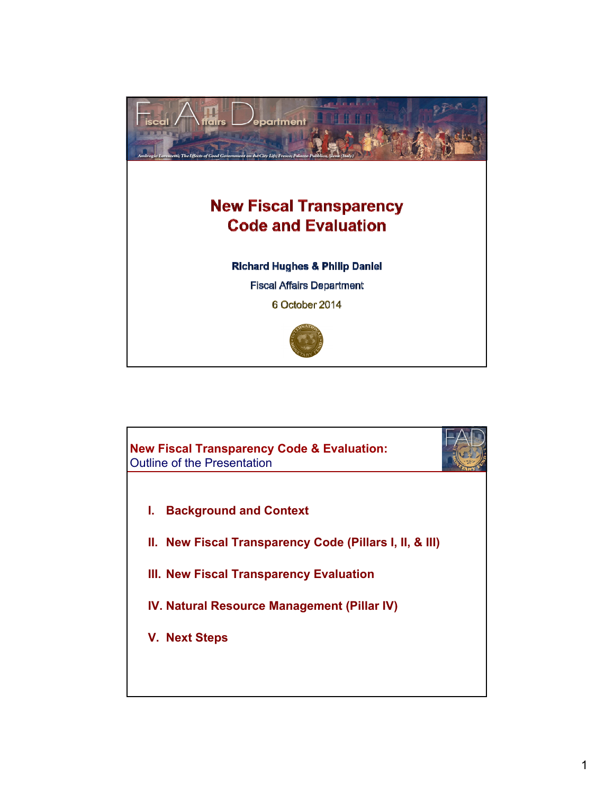

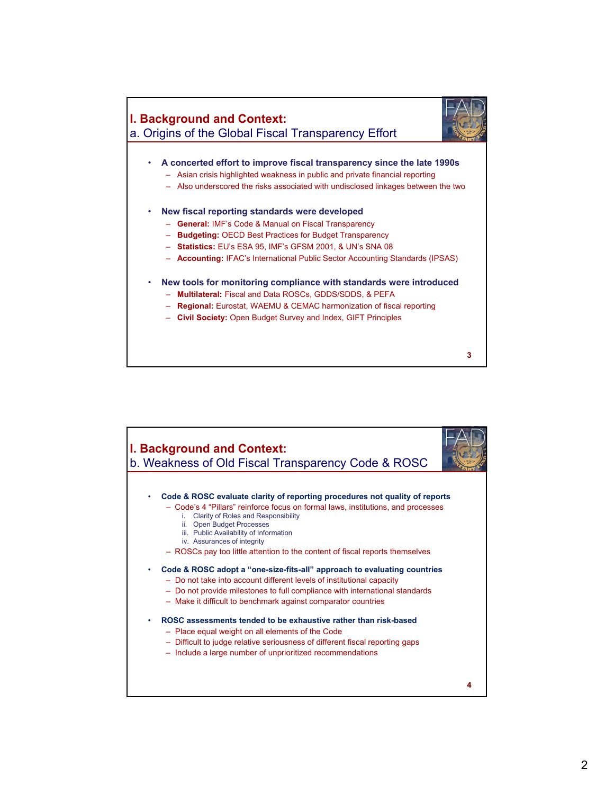

**3**

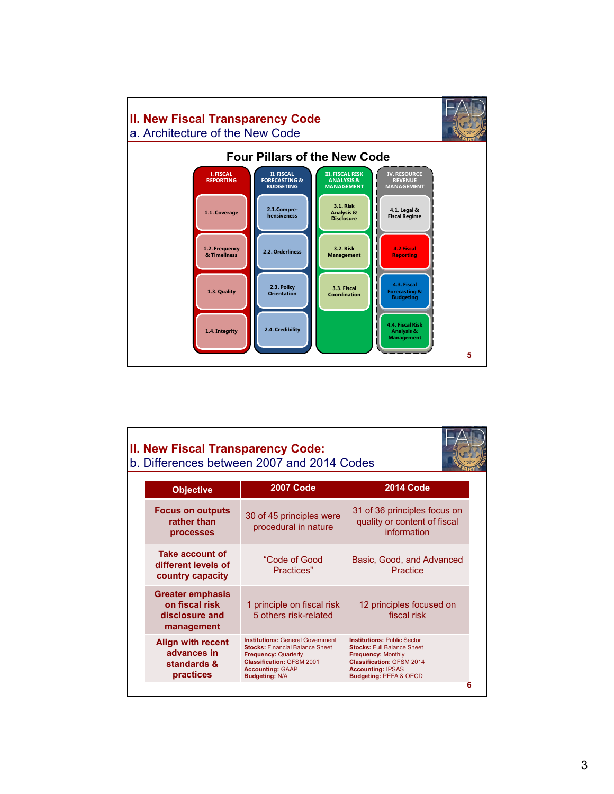

| II. New Fiscal Transparency Code:                                         | b. Differences between 2007 and 2014 Codes                                                                                                                                                               |                                                                                                                                                                                                           |
|---------------------------------------------------------------------------|----------------------------------------------------------------------------------------------------------------------------------------------------------------------------------------------------------|-----------------------------------------------------------------------------------------------------------------------------------------------------------------------------------------------------------|
| <b>Objective</b>                                                          | <b>2007 Code</b>                                                                                                                                                                                         | <b>2014 Code</b>                                                                                                                                                                                          |
| <b>Focus on outputs</b><br>rather than<br>processes                       | 30 of 45 principles were<br>procedural in nature                                                                                                                                                         | 31 of 36 principles focus on<br>quality or content of fiscal<br>information                                                                                                                               |
| <b>Take account of</b><br>different levels of<br>country capacity         | "Code of Good<br>Practices"                                                                                                                                                                              | Basic, Good, and Advanced<br>Practice                                                                                                                                                                     |
| <b>Greater emphasis</b><br>on fiscal risk<br>disclosure and<br>management | 1 principle on fiscal risk<br>5 others risk-related                                                                                                                                                      | 12 principles focused on<br>fiscal risk                                                                                                                                                                   |
| <b>Align with recent</b><br>advances in<br>standards &<br>practices       | <b>Institutions: General Government</b><br><b>Stocks: Financial Balance Sheet</b><br><b>Frequency: Quarterly</b><br><b>Classification: GFSM 2001</b><br><b>Accounting: GAAP</b><br><b>Budgeting: N/A</b> | <b>Institutions: Public Sector</b><br><b>Stocks: Full Balance Sheet</b><br><b>Frequency: Monthly</b><br><b>Classification: GFSM 2014</b><br><b>Accounting: IPSAS</b><br><b>Budgeting: PEFA &amp; OECD</b> |
|                                                                           |                                                                                                                                                                                                          |                                                                                                                                                                                                           |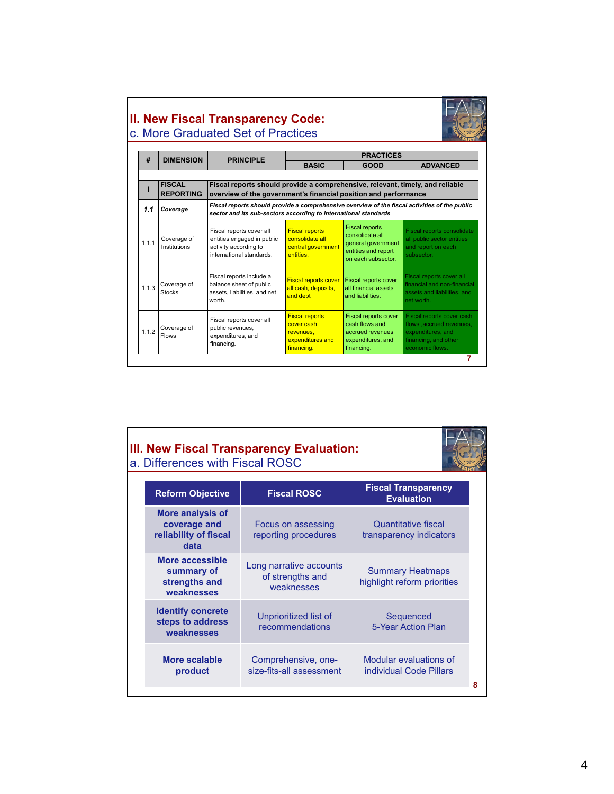| <b>II. New Fiscal Transparency Code:</b> |  |
|------------------------------------------|--|
| c. More Graduated Set of Practices       |  |

 $\Gamma$ 



| #     | <b>DIMENSION</b>             | <b>PRINCIPLE</b>                                                                                            | <b>PRACTICES</b>                                                                                                                                                 |                                                                                                             |                                                                                                                       |  |  |
|-------|------------------------------|-------------------------------------------------------------------------------------------------------------|------------------------------------------------------------------------------------------------------------------------------------------------------------------|-------------------------------------------------------------------------------------------------------------|-----------------------------------------------------------------------------------------------------------------------|--|--|
|       |                              |                                                                                                             | <b>BASIC</b>                                                                                                                                                     | <b>GOOD</b>                                                                                                 | <b>ADVANCED</b>                                                                                                       |  |  |
|       |                              |                                                                                                             |                                                                                                                                                                  |                                                                                                             |                                                                                                                       |  |  |
|       | <b>FISCAL</b>                | Fiscal reports should provide a comprehensive, relevant, timely, and reliable                               |                                                                                                                                                                  |                                                                                                             |                                                                                                                       |  |  |
|       | <b>REPORTING</b>             | overview of the government's financial position and performance                                             |                                                                                                                                                                  |                                                                                                             |                                                                                                                       |  |  |
| 1.1   | Coverage                     |                                                                                                             | Fiscal reports should provide a comprehensive overview of the fiscal activities of the public<br>sector and its sub-sectors according to international standards |                                                                                                             |                                                                                                                       |  |  |
| 1.1.1 | Coverage of<br>Institutions  | Fiscal reports cover all<br>entities engaged in public<br>activity according to<br>international standards. | <b>Fiscal reports</b><br>consolidate all<br>central government<br><b>entities</b>                                                                                | <b>Fiscal reports</b><br>consolidate all<br>general government<br>entities and report<br>on each subsector. | Fiscal reports consolidate<br>all public sector entities<br>and report on each<br>subsector.                          |  |  |
| 1.1.3 | Coverage of<br><b>Stocks</b> | Fiscal reports include a<br>balance sheet of public<br>assets, liabilities, and net<br>worth.               | <b>Fiscal reports cover</b><br>all cash, deposits,<br>and debt                                                                                                   | <b>Fiscal reports cover</b><br>all financial assets<br>and liabilities.                                     | Fiscal reports cover all<br>financial and non-financial<br>assets and liabilities, and<br>net worth.                  |  |  |
| 1.1.2 | Coverage of<br><b>Flows</b>  | Fiscal reports cover all<br>public revenues,<br>expenditures, and<br>financing.                             | <b>Fiscal reports</b><br>cover cash<br>revenues.<br>expenditures and<br>financing.                                                                               | Fiscal reports cover<br>cash flows and<br>accrued revenues<br>expenditures, and<br>financing.               | Fiscal reports cover cash<br>flows .accrued revenues.<br>expenditures, and<br>financing, and other<br>economic flows. |  |  |

### **III. New Fiscal Transparency Evaluation:**  a. Differences with Fiscal ROSC



| <b>Reform Objective</b>                                                  | <b>Fiscal ROSC</b>                                        | <b>Fiscal Transparency</b><br><b>Evaluation</b>        |
|--------------------------------------------------------------------------|-----------------------------------------------------------|--------------------------------------------------------|
| <b>More analysis of</b><br>coverage and<br>reliability of fiscal<br>data | Focus on assessing<br>reporting procedures                | Quantitative fiscal<br>transparency indicators         |
| More accessible<br>summary of<br>strengths and<br>weaknesses             | Long narrative accounts<br>of strengths and<br>weaknesses | <b>Summary Heatmaps</b><br>highlight reform priorities |
| <b>Identify concrete</b><br>steps to address<br>weaknesses               | Unprioritized list of<br>recommendations                  | Sequenced<br>5-Year Action Plan                        |
| More scalable<br>product                                                 | Comprehensive, one-<br>size-fits-all assessment           | Modular evaluations of<br>individual Code Pillars      |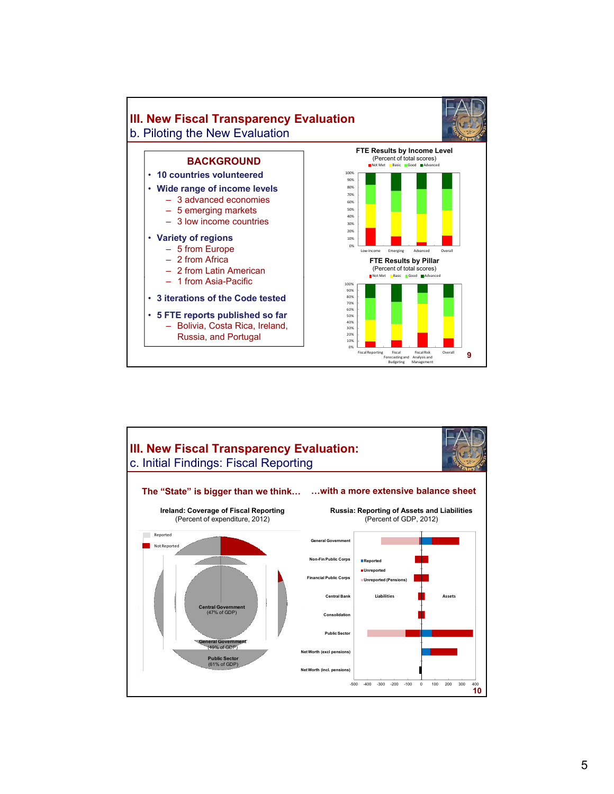

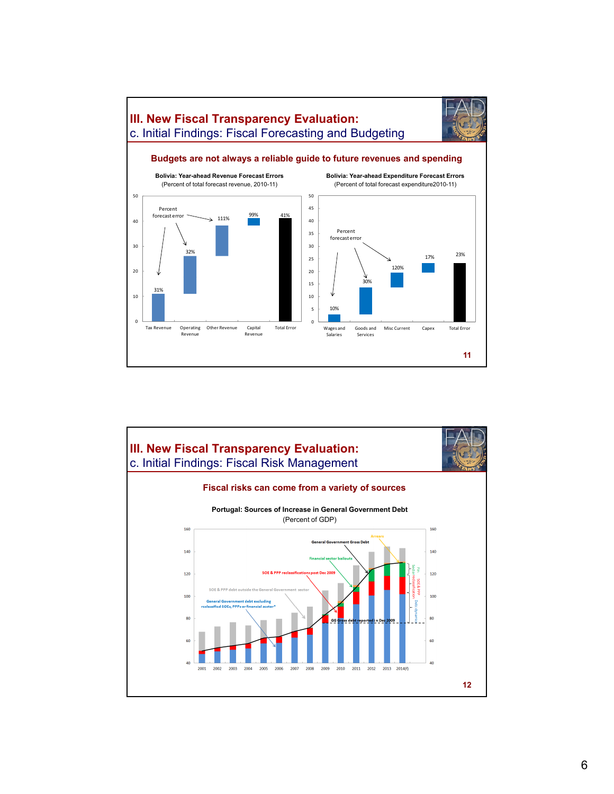

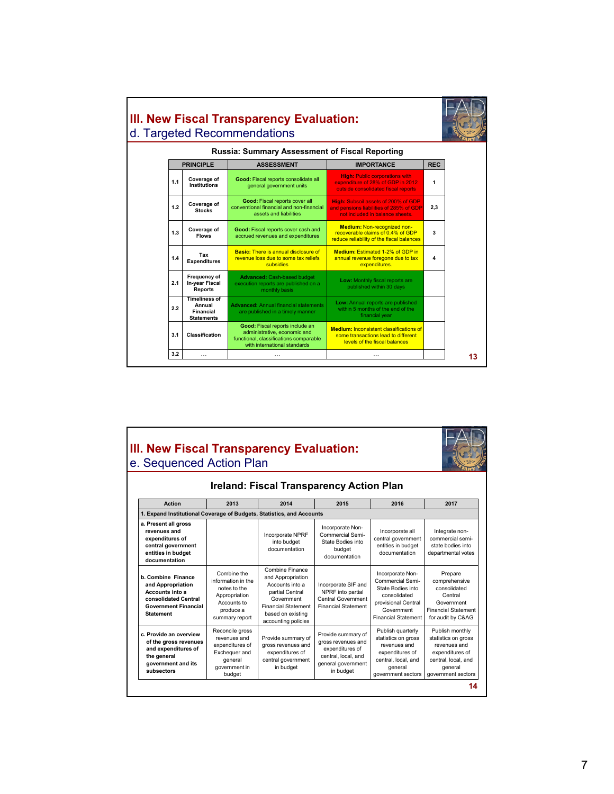

### **III. New Fiscal Transparency Evaluation:**  e. Sequenced Action Plan



| <b>Ireland: Fiscal Transparency Action Plan</b>                                                                                       |                                                                                                                  |                                                                                                                                                                    |                                                                                                                       |                                                                                                                                              |                                                                                                                                   |
|---------------------------------------------------------------------------------------------------------------------------------------|------------------------------------------------------------------------------------------------------------------|--------------------------------------------------------------------------------------------------------------------------------------------------------------------|-----------------------------------------------------------------------------------------------------------------------|----------------------------------------------------------------------------------------------------------------------------------------------|-----------------------------------------------------------------------------------------------------------------------------------|
| <b>Action</b>                                                                                                                         | 2013                                                                                                             | 2014                                                                                                                                                               | 2015                                                                                                                  | 2016                                                                                                                                         | 2017                                                                                                                              |
| 1. Expand Institutional Coverage of Budgets, Statistics, and Accounts                                                                 |                                                                                                                  |                                                                                                                                                                    |                                                                                                                       |                                                                                                                                              |                                                                                                                                   |
| a. Present all gross<br>revenues and<br>expenditures of<br>central government<br>entities in budget<br>documentation                  |                                                                                                                  | Incorporate NPRF<br>into budget<br>documentation                                                                                                                   | Incorporate Non-<br>Commercial Semi-<br>State Bodies into<br>budget<br>documentation                                  | Incorporate all<br>central government<br>entities in budget<br>documentation                                                                 | Integrate non-<br>commercial semi-<br>state bodies into<br>departmental votes                                                     |
| b. Combine Finance<br>and Appropriation<br>Accounts into a<br>consolidated Central<br><b>Government Financial</b><br><b>Statement</b> | Combine the<br>information in the<br>notes to the<br>Appropriation<br>Accounts to<br>produce a<br>summary report | Combine Finance<br>and Appropriation<br>Accounts into a<br>partial Central<br>Government<br><b>Financial Statement</b><br>based on existing<br>accounting policies | Incorporate SIF and<br>NPRF into partial<br>Central Government<br><b>Financial Statement</b>                          | Incorporate Non-<br>Commercial Semi-<br>State Bodies into<br>consolidated<br>provisional Central<br>Government<br><b>Financial Statement</b> | Prepare<br>comprehensive<br>consolidated<br>Central<br>Government<br><b>Financial Statement</b><br>for audit by C&AG              |
| c. Provide an overview<br>of the gross revenues<br>and expenditures of<br>the general<br>government and its<br>subsectors             | Reconcile gross<br>revenues and<br>expenditures of<br>Exchequer and<br>general<br>government in<br>budget        | Provide summary of<br>gross revenues and<br>expenditures of<br>central government<br>in budget                                                                     | Provide summary of<br>gross revenues and<br>expenditures of<br>central, local, and<br>general government<br>in budget | Publish quarterly<br>statistics on gross<br>revenues and<br>expenditures of<br>central, local, and<br>general<br>government sectors          | Publish monthly<br>statistics on gross<br>revenues and<br>expenditures of<br>central, local, and<br>general<br>government sectors |
|                                                                                                                                       |                                                                                                                  |                                                                                                                                                                    |                                                                                                                       |                                                                                                                                              | 14                                                                                                                                |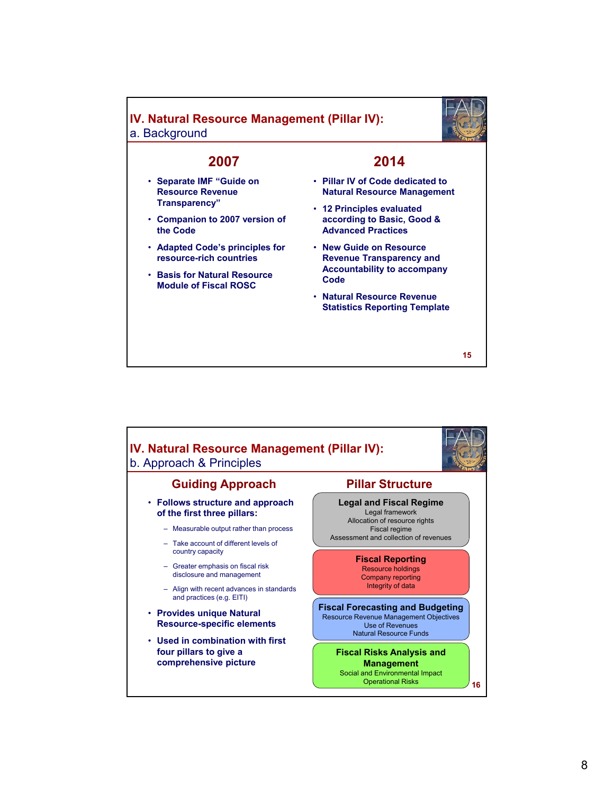# **IV. Natural Resource Management (Pillar IV):** a. Background



# **2007**

- **Separate IMF "Guide on Resource Revenue Transparency"**
- **Companion to 2007 version of the Code**
- **Adapted Code's principles for resource-rich countries**
- **Basis for Natural Resource C d Basis for Natural Module of Fiscal ROSC Code**

### **2014**

- **Pillar IV of Code dedicated to Natural Resource Management**
- **12 Principles evaluated according to Basic, Good & Advanced Practices**
- **New Guide on Resource Revenue Transparency and Accountability to accompany**
- **Natural Resource Revenue Statistics Reporting Template**

**15**